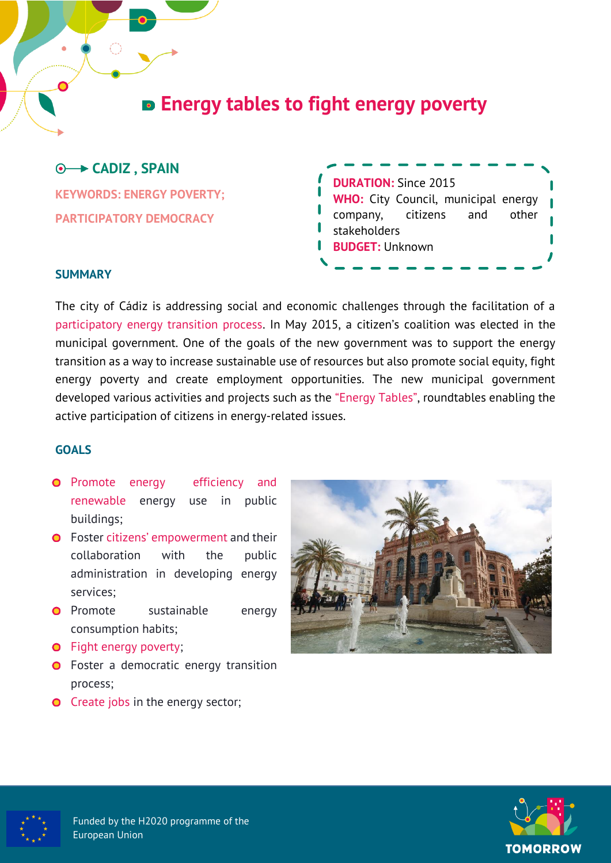# **Energy tables to fight energy poverty**

## **CADIZ , SPAIN**

**KEYWORDS: ENERGY POVERTY; PARTICIPATORY DEMOCRACY**

| <b>DURATION: Since 2015</b>                |          |     |       |
|--------------------------------------------|----------|-----|-------|
| <b>WHO:</b> City Council, municipal energy |          |     |       |
| company,                                   | citizens | and | other |
| stakeholders                               |          |     |       |
| <b>BUDGET: Unknown</b>                     |          |     |       |
|                                            |          |     |       |

#### **SUMMARY**

The city of Cádiz is addressing social and economic challenges through the facilitation of a participatory energy transition process. In May 2015, a citizen's coalition was elected in the municipal government. One of the goals of the new government was to support the energy transition as a way to increase sustainable use of resources but also promote social equity, fight energy poverty and create employment opportunities. The new municipal government developed various activities and projects such as the "Energy Tables", roundtables enabling the active participation of citizens in energy-related issues.

#### **GOALS**

- **O** Promote energy efficiency and renewable energy use in public buildings;
- **O** Foster citizens' empowerment and their collaboration with the public administration in developing energy services;
- **O** Promote sustainable energy consumption habits;
- **O** Fight energy poverty;
- **O** Foster a democratic energy transition process;
- **O** Create jobs in the energy sector;





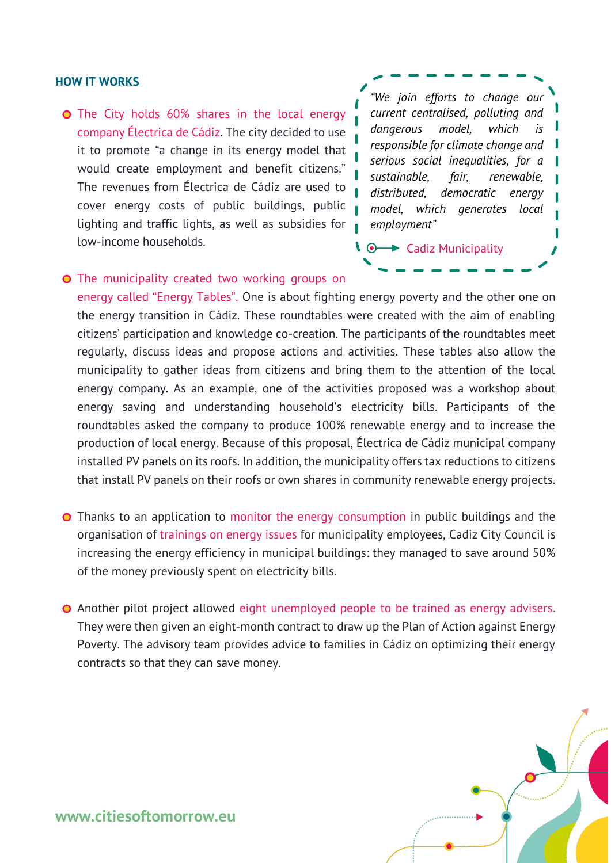#### **HOW IT WORKS**

**O** The City holds 60% shares in the local energy company Électrica de Cádiz. The city decided to use it to promote "a change in its energy model that would create employment and benefit citizens." The revenues from Électrica de Cádiz are used to cover energy costs of public buildings, public lighting and traffic lights, as well as subsidies for low-income households.

*"We join efforts to change our current centralised, polluting and*  dangerous model, which *responsible for climate change and serious social inequalities, for a sustainable, fair, renewable, distributed, democratic energy model, which generates local employment"*

 $\sqrt{\cdot}$  Cadiz Municipality

**O** The municipality created two working groups on

energy called "Energy Tables". One is about fighting energy poverty and the other one on the energy transition in Cádiz. These roundtables were created with the aim of enabling citizens' participation and knowledge co-creation. The participants of the roundtables meet regularly, discuss ideas and propose actions and activities. These tables also allow the municipality to gather ideas from citizens and bring them to the attention of the local energy company. As an example, one of the activities proposed was a workshop about energy saving and understanding household's electricity bills. Participants of the roundtables asked the company to produce 100% renewable energy and to increase the production of local energy. Because of this proposal, Électrica de Cádiz municipal company installed PV panels on its roofs. In addition, the municipality offers tax reductions to citizens that install PV panels on their roofs or own shares in community renewable energy projects.

- **O** Thanks to an application to monitor the energy consumption in public buildings and the organisation of trainings on energy issues for municipality employees, Cadiz City Council is increasing the energy efficiency in municipal buildings: they managed to save around 50% of the money previously spent on electricity bills.
- **O** Another pilot project allowed eight unemployed people to be trained as energy advisers. They were then given an eight-month contract to draw up the Plan of Action against Energy Poverty. The advisory team provides advice to families in Cádiz on optimizing their energy contracts so that they can save money.